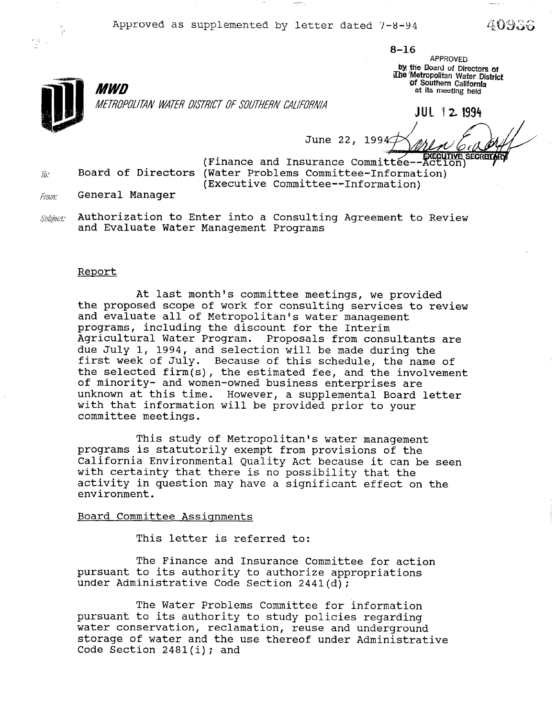40936

 $8 - 16$ 

APPROVED by the Board of Directors of The Metropolitan Water District Of Southern California at itS meeting held



4일 :

METROPOLITAN WATER DISTRICT OF SOUTHERN CALIFORNIA

**JUL 12 1994** 

June 22, 199

(Finance and Insurance Committee--Action)  $\tilde{y}_i$  Board of Directors (Water Problems Committee-Information) (Executive Committee--Information)

*Fram:* General Manager

*MWD* 

Subject: Authorization to Enter into a Consulting Agreement to Review and Evaluate Water Management Programs

### Report

At last month's committee meetings, we provided the provided scommittee meetings, we provided the proposed scope of work for consulting services to review and evaluate all of Metropolitan's water management programs, including the discount for the Interim Agricultural Water Program. Proposals from consultants are due July 1, 1994, and selection will be made during the first week of July. Because of this schedule, the name of the selected firm(s), the estimated fee, and the involvement of minority- and women-owned business enterprises are unknown at this time. However, a supplemental Board letter with that information will be provided prior to your committee meetings.

This study of Metropolitan's water managemer programs is statutorily exempt from provisions of the California Environmental Quality Act because it can be seen with certainty that there is no possibility that the activity in question may have a significant effect on the environment.

#### Board Committee Assignments

This letter is referred to:

The Finance and Insurance Committee for action pursuant to its authority to authorize appropriations under Administrative Code Section 2441(d):  $\frac{1}{2}$  The Water Problems  $\frac{1}{2}$  The Water Problems  $\frac{1}{2}$  The  $\frac{1}{2}$  Theorem information  $\frac{1}{2}$ 

The Water Problems Committee for information pursuant to its authority to study policies regarding water conservation, reclamation, reuse and underground storage of water and the use thereof under Administrative Code Section  $2481(i)$ ; and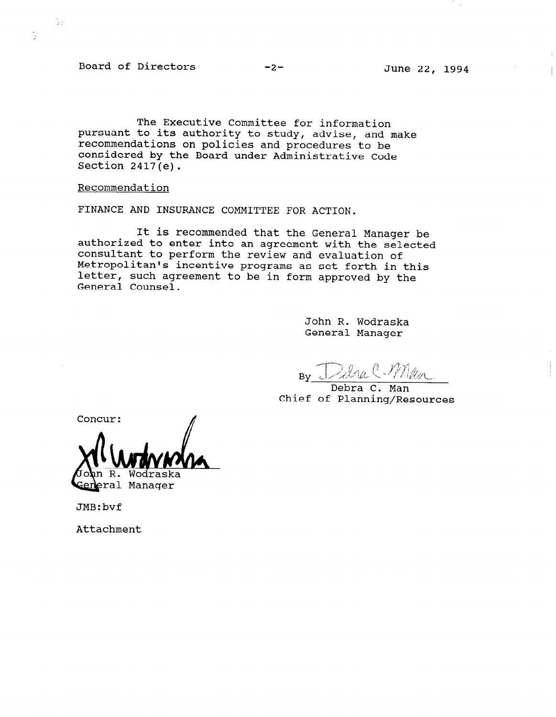Board of Directors -2- June 22, 1994

Ğ.

 $\frac{1}{2}$ 

The Executive Committee for information pursuant to its authority to study, advise, and make recommendations on policies and procedures to be considered by the Board under Administrative Code Section 2417(e).

# Recommendation

FINANCE AND INSURANCE COMMITTEE FOR ACTION.

It is recommended that the General Manager be authorized to enter into an agreement with the selected consultant to perform the review and evaluation of Metropolitan's incentive programs as set forth in this letter, such agreement to be in form approved by the General Counsel.

> John R. Wodraska General Manager

By Delga C. Millen

Debra C. Man Chief of Planning/Resources

Concur: Wodraska R.

eral Manager

JMB:bvf

Attachment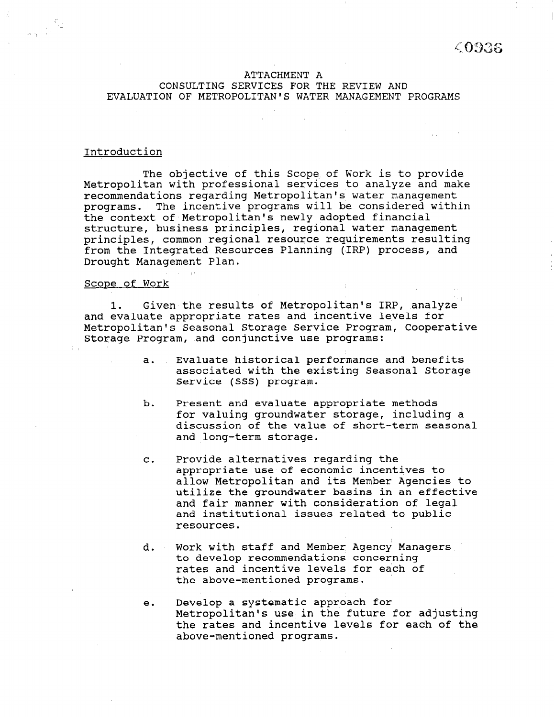## ATTACHMENT A CONSULTING SERVICES FOR THE REVIEW AND EVALUATION OF METROPOLITAN'S WATER MANAGEMENT PROGRAMS

# Introduction

The objective of this Scope. of Work is to provide Metropolitan with professional services to analyze and make recommendations regarding Metropolitan's water management programs. The incentive programs will be considered within the context of Metropolitan's newly adopted financial structure, business principles, regional water management principles, common regional resource requirements resulting from the Integrated Resources Planning (IRP) process, and Drought Management Plan.

#### Scope of Work

1. Given the results of Metropolitan's IRP, analyze' and evaluate appropriate rates and incentive levels for Metropolitan's Seasonal Storage Service Program, Cooperative Storage Program, and conjunctive use programs:

- a. Evaluate historical performance and benefits associated with the existing Seasonal Storage Service (SSS) program.
- b. Present and evaluate appropriate methods for valuing groundwater storage, including a discussion of the value of short-term seasonal and long-term storage.
- C. Provide alternatives regarding the appropriate use of economic incentives to allow Metropolitan and its Member Agencies to utilize the groundwater basins in an effective and fair manner with consideration of legal and institutional issues related to public anu inst<br>.........
- d. Work with staff and Member Agency Managers work with stall and member Agency m to develop recommendations concerning rates and incentive levels for each of<br>the above-mentioned programs.
- e. Develop a systematic approach for Develop a systematic approach for<br>West in the future for adjusting Metropolitan's use in the future for adjusting the rates and incentive levels for each of the above-mentioned programs.